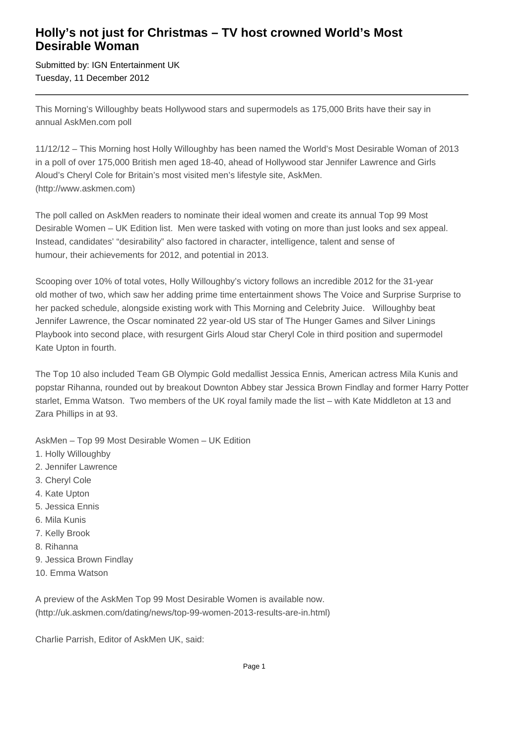## **Holly's not just for Christmas – TV host crowned World's Most Desirable Woman**

Submitted by: IGN Entertainment UK Tuesday, 11 December 2012

This Morning's Willoughby beats Hollywood stars and supermodels as 175,000 Brits have their say in annual AskMen.com poll

11/12/12 – This Morning host Holly Willoughby has been named the World's Most Desirable Woman of 2013 in a poll of over 175,000 British men aged 18-40, ahead of Hollywood star Jennifer Lawrence and Girls Aloud's Cheryl Cole for Britain's most visited men's lifestyle site, AskMen. (http://www.askmen.com)

The poll called on AskMen readers to nominate their ideal women and create its annual Top 99 Most Desirable Women – UK Edition list. Men were tasked with voting on more than just looks and sex appeal. Instead, candidates' "desirability" also factored in character, intelligence, talent and sense of humour, their achievements for 2012, and potential in 2013.

Scooping over 10% of total votes, Holly Willoughby's victory follows an incredible 2012 for the 31-year old mother of two, which saw her adding prime time entertainment shows The Voice and Surprise Surprise to her packed schedule, alongside existing work with This Morning and Celebrity Juice. Willoughby beat Jennifer Lawrence, the Oscar nominated 22 year-old US star of The Hunger Games and Silver Linings Playbook into second place, with resurgent Girls Aloud star Cheryl Cole in third position and supermodel Kate Upton in fourth.

The Top 10 also included Team GB Olympic Gold medallist Jessica Ennis, American actress Mila Kunis and popstar Rihanna, rounded out by breakout Downton Abbey star Jessica Brown Findlay and former Harry Potter starlet, Emma Watson. Two members of the UK royal family made the list – with Kate Middleton at 13 and Zara Phillips in at 93.

AskMen – Top 99 Most Desirable Women – UK Edition

- 1. Holly Willoughby
- 2. Jennifer Lawrence
- 3. Cheryl Cole
- 4. Kate Upton
- 5. Jessica Ennis
- 6. Mila Kunis
- 7. Kelly Brook
- 8. Rihanna
- 9. Jessica Brown Findlay
- 10. Emma Watson

A preview of the AskMen Top 99 Most Desirable Women is available now. (http://uk.askmen.com/dating/news/top-99-women-2013-results-are-in.html)

Charlie Parrish, Editor of AskMen UK, said: